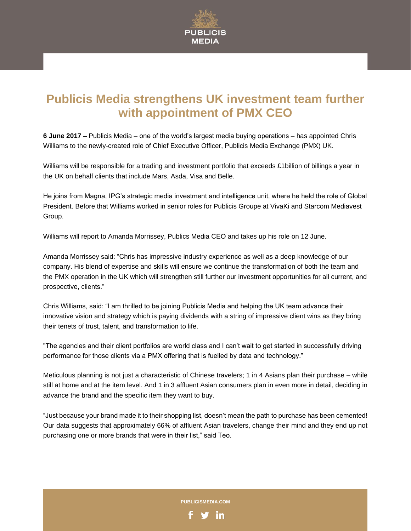

# **Publicis Media strengthens UK investment team further with appointment of PMX CEO**

**6 June 2017 –** Publicis Media – one of the world's largest media buying operations – has appointed Chris Williams to the newly-created role of Chief Executive Officer, Publicis Media Exchange (PMX) UK.

Williams will be responsible for a trading and investment portfolio that exceeds £1billion of billings a year in the UK on behalf clients that include Mars, Asda, Visa and Belle.

He joins from Magna, IPG's strategic media investment and intelligence unit, where he held the role of Global President. Before that Williams worked in senior roles for Publicis Groupe at VivaKi and Starcom Mediavest Group.

Williams will report to Amanda Morrissey, Publics Media CEO and takes up his role on 12 June.

Amanda Morrissey said: "Chris has impressive industry experience as well as a deep knowledge of our company. His blend of expertise and skills will ensure we continue the transformation of both the team and the PMX operation in the UK which will strengthen still further our investment opportunities for all current, and prospective, clients."

Chris Williams, said: "I am thrilled to be joining Publicis Media and helping the UK team advance their innovative vision and strategy which is paying dividends with a string of impressive client wins as they bring their tenets of trust, talent, and transformation to life.

"The agencies and their client portfolios are world class and I can't wait to get started in successfully driving performance for those clients via a PMX offering that is fuelled by data and technology."

Meticulous planning is not just a characteristic of Chinese travelers; 1 in 4 Asians plan their purchase – while still at home and at the item level. And 1 in 3 affluent Asian consumers plan in even more in detail, deciding in advance the brand and the specific item they want to buy.

"Just because your brand made it to their shopping list, doesn't mean the path to purchase has been cemented! Our data suggests that approximately 66% of affluent Asian travelers, change their mind and they end up not purchasing one or more brands that were in their list," said Teo.

**PUBLICISMEDIA.COM**

in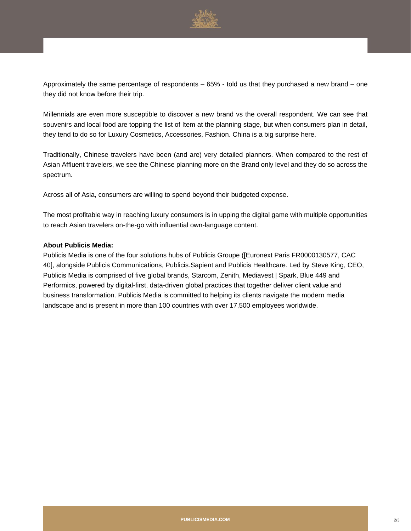

Approximately the same percentage of respondents – 65% - told us that they purchased a new brand – one they did not know before their trip.

Millennials are even more susceptible to discover a new brand vs the overall respondent. We can see that souvenirs and local food are topping the list of Item at the planning stage, but when consumers plan in detail, they tend to do so for Luxury Cosmetics, Accessories, Fashion. China is a big surprise here.

Traditionally, Chinese travelers have been (and are) very detailed planners. When compared to the rest of Asian Affluent travelers, we see the Chinese planning more on the Brand only level and they do so across the spectrum.

Across all of Asia, consumers are willing to spend beyond their budgeted expense.

The most profitable way in reaching luxury consumers is in upping the digital game with multiple opportunities to reach Asian travelers on-the-go with influential own-language content.

## **About Publicis Media:**

Publicis Media is one of the four solutions hubs of Publicis Groupe ([Euronext Paris FR0000130577, CAC 40], alongside Publicis Communications, Publicis.Sapient and Publicis Healthcare. Led by Steve King, CEO, Publicis Media is comprised of five global brands, Starcom, Zenith, Mediavest | Spark, Blue 449 and Performics, powered by digital-first, data-driven global practices that together deliver client value and business transformation. Publicis Media is committed to helping its clients navigate the modern media landscape and is present in more than 100 countries with over 17,500 employees worldwide.